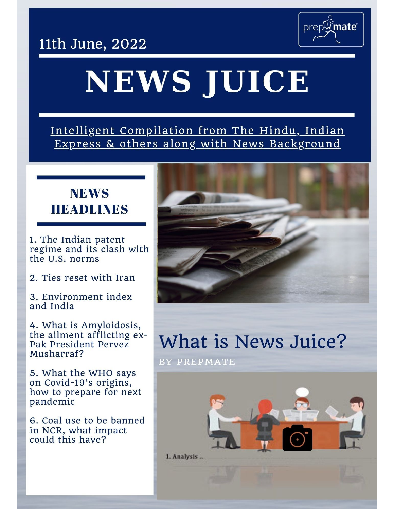11th June, 2022



# NEWS JUICE

Intelligent Compilation from The Hindu, Indian Express & others along with News Background

### **NEWS HEADLINES**

1. The Indian patent regime and its clash with the U.S. norms

2. Ties reset with Iran

3. Environment index and India

4. What is Amyloidosis, the ailment afflicting ex-Pak President Pervez Musharraf?

5. What the WHO says on Covid-19's origins, how to prepare for next pandemic

6. Coal use to be banned in NCR, what impact could this have?



## What is News Juice?

BY PREPMATE

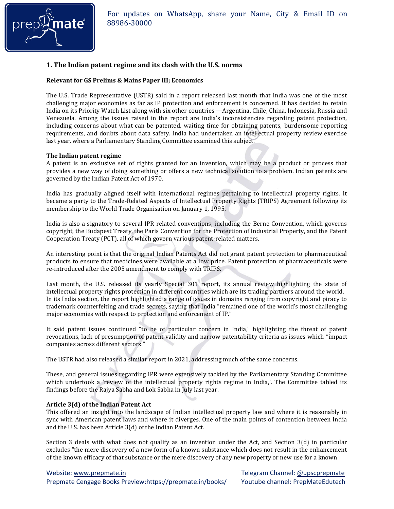

#### **1. The Indian patent regime and its clash with the U.S. norms**

#### **Relevant for GS Prelims & Mains Paper III; Economics**

The U.S. Trade Representative (USTR) said in a report released last month that India was one of the most challenging major economies as far as IP protection and enforcement is concerned. It has decided to retain India on its Priority Watch List along with six other countries —Argentina, Chile, China, Indonesia, Russia and Venezuela. Among the issues raised in the report are India's inconsistencies regarding patent protection, including concerns about what can be patented, waiting time for obtaining patents, burdensome reporting requirements, and doubts about data safety. India had undertaken an intellectual property review exercise last year, where a Parliamentary Standing Committee examined this subject.

#### **The Indian patent regime**

A patent is an exclusive set of rights granted for an invention, which may be a product or process that provides a new way of doing something or offers a new technical solution to a problem. Indian patents are governed by the Indian Patent Act of 1970.

India has gradually aligned itself with international regimes pertaining to intellectual property rights. It became a party to the Trade-Related Aspects of Intellectual Property Rights (TRIPS) Agreement following its membership to the World Trade Organisation on January 1, 1995.

India is also a signatory to several IPR related conventions, including the Berne Convention, which governs copyright, the Budapest Treaty, the Paris Convention for the Protection of Industrial Property, and the Patent Cooperation Treaty (PCT), all of which govern various patent-related matters.

An interesting point is that the original Indian Patents Act did not grant patent protection to pharmaceutical products to ensure that medicines were available at a low price. Patent protection of pharmaceuticals were re-introduced after the 2005 amendment to comply with TRIPS.

Last month, the U.S. released its yearly Special 301 report, its annual review highlighting the state of intellectual property rights protection in different countries which are its trading partners around the world. In its India section, the report highlighted a range of issues in domains ranging from copyright and piracy to trademark counterfeiting and trade secrets, saying that India "remained one of the world's most challenging major economies with respect to protection and enforcement of IP."

It said patent issues continued "to be of particular concern in India," highlighting the threat of patent revocations, lack of presumption of patent validity and narrow patentability criteria as issues which "impact companies across different sectors."

The USTR had also released a similar report in 2021, addressing much of the same concerns.

These, and general issues regarding IPR were extensively tackled by the Parliamentary Standing Committee which undertook a 'review of the intellectual property rights regime in India,'. The Committee tabled its findings before the Rajya Sabha and Lok Sabha in July last year.

#### **Article 3(d) of the Indian Patent Act**

This offered an insight into the landscape of Indian intellectual property law and where it is reasonably in sync with American patent laws and where it diverges. One of the main points of contention between India and the U.S. has been Article 3(d) of the Indian Patent Act.

Section 3 deals with what does not qualify as an invention under the Act, and Section 3(d) in particular excludes "the mere discovery of a new form of a known substance which does not result in the enhancement of the known efficacy of that substance or the mere discovery of any new property or new use for a known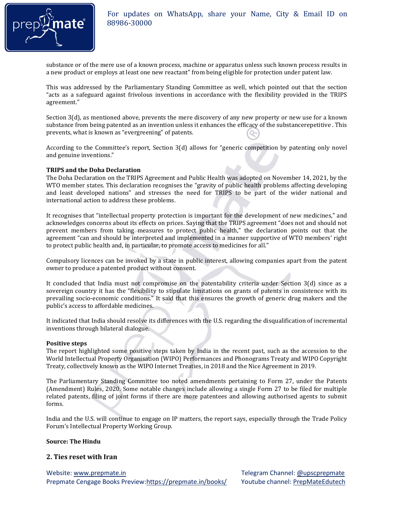

substance or of the mere use of a known process, machine or apparatus unless such known process results in a new product or employs at least one new reactant" from being eligible for protection under patent law.

This was addressed by the Parliamentary Standing Committee as well, which pointed out that the section "acts as a safeguard against frivolous inventions in accordance with the flexibility provided in the TRIPS agreement."

Section 3(d), as mentioned above, prevents the mere discovery of any new property or new use for a known substance from being patented as an invention unless it enhances the efficacy of the substancerepetitive . This prevents, what is known as "evergreening" of patents.

According to the Committee's report, Section 3(d) allows for "generic competition by patenting only novel and genuine inventions."

#### **TRIPS and the Doha Declaration**

The Doha Declaration on the TRIPS Agreement and Public Health was adopted on November 14, 2021, by the WTO member states. This declaration recognises the "gravity of public health problems affecting developing and least developed nations" and stresses the need for TRIPS to be part of the wider national and international action to address these problems.

It recognises that "intellectual property protection is important for the development of new medicines," and acknowledges concerns about its effects on prices. Saying that the TRIPS agreement "does not and should not prevent members from taking measures to protect public health," the declaration points out that the agreement "can and should be interpreted and implemented in a manner supportive of WTO members' right to protect public health and, in particular, to promote access to medicines for all."

Compulsory licences can be invoked by a state in public interest, allowing companies apart from the patent owner to produce a patented product without consent.

It concluded that India must not compromise on the patentability criteria under Section 3(d) since as a sovereign country it has the "flexibility to stipulate limitations on grants of patents in consistence with its prevailing socio-economic conditions." It said that this ensures the growth of generic drug makers and the public's access to affordable medicines.

It indicated that India should resolve its differences with the U.S. regarding the disqualification of incremental inventions through bilateral dialogue.

#### **Positive steps**

The report highlighted some positive steps taken by India in the recent past, such as the accession to the World Intellectual Property Organisation (WIPO) Performances and Phonograms Treaty and WIPO Copyright Treaty, collectively known as the WIPO Internet Treaties, in 2018 and the Nice Agreement in 2019.

The Parliamentary Standing Committee too noted amendments pertaining to Form 27, under the Patents (Amendment) Rules, 2020. Some notable changes include allowing a single Form 27 to be filed for multiple related patents, filing of joint forms if there are more patentees and allowing authorised agents to submit forms.

India and the U.S. will continue to engage on IP matters, the report says, especially through the Trade Policy Forum's Intellectual Property Working Group.

#### **Source: The Hindu**

#### **2. Ties reset with Iran**

Website[: www.prepmate.in](http://www.prepmate.in/) Telegram Channel: @upscprepmate Prepmate Cengage Books Preview[:https://prepmate.in/books/](https://prepmate.in/books/) Youtube channel[: PrepMateEdutech](https://www.youtube.com/channel/UCXy_z-FjcG4CcCTYpn2DGhA)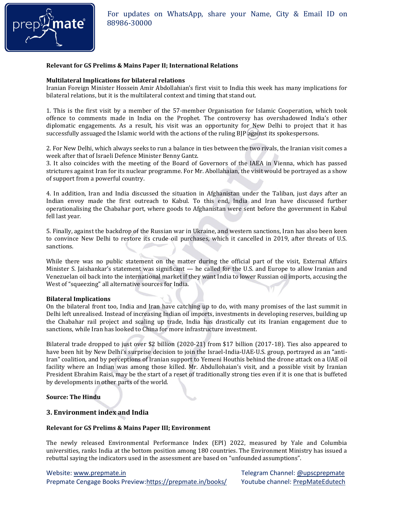

#### **Relevant for GS Prelims & Mains Paper II; International Relations**

#### **Multilateral Implications for bilateral relations**

Iranian Foreign Minister Hossein Amir Abdollahian's first visit to India this week has many implications for bilateral relations, but it is the multilateral context and timing that stand out.

1. This is the first visit by a member of the 57-member Organisation for Islamic Cooperation, which took offence to comments made in India on the Prophet. The controversy has overshadowed India's other diplomatic engagements. As a result, his visit was an opportunity for New Delhi to project that it has successfully assuaged the Islamic world with the actions of the ruling BJP against its spokespersons.

2. For New Delhi, which always seeks to run a balance in ties between the two rivals, the Iranian visit comes a week after that of Israeli Defence Minister Benny Gantz.

3. It also coincides with the meeting of the Board of Governors of the IAEA in Vienna, which has passed strictures against Iran for its nuclear programme. For Mr. Abollahaian, the visit would be portrayed as a show of support from a powerful country.

4. In addition, Iran and India discussed the situation in Afghanistan under the Taliban, just days after an Indian envoy made the first outreach to Kabul. To this end, India and Iran have discussed further operationalising the Chabahar port, where goods to Afghanistan were sent before the government in Kabul fell last year.

5. Finally, against the backdrop of the Russian war in Ukraine, and western sanctions, Iran has also been keen to convince New Delhi to restore its crude oil purchases, which it cancelled in 2019, after threats of U.S. sanctions.

While there was no public statement on the matter during the official part of the visit, External Affairs Minister S. Jaishankar's statement was significant — he called for the U.S. and Europe to allow Iranian and Venezuelan oil back into the international market if they want India to lower Russian oil imports, accusing the West of "squeezing" all alternative sources for India.

#### **Bilateral Implications**

On the bilateral front too, India and Iran have catching up to do, with many promises of the last summit in Delhi left unrealised. Instead of increasing Indian oil imports, investments in developing reserves, building up the Chabahar rail project and scaling up trade, India has drastically cut its Iranian engagement due to sanctions, while Iran has looked to China for more infrastructure investment.

Bilateral trade dropped to just over \$2 billion (2020-21) from \$17 billion (2017-18). Ties also appeared to have been hit by New Delhi's surprise decision to join the Israel-India-UAE-U.S. group, portrayed as an "anti-Iran" coalition, and by perceptions of Iranian support to Yemeni Houthis behind the drone attack on a UAE oil facility where an Indian was among those killed. Mr. Abdullohaian's visit, and a possible visit by Iranian President Ebrahim Raisi, may be the start of a reset of traditionally strong ties even if it is one that is buffeted by developments in other parts of the world.

**Source: The Hindu** 

#### **3. Environment index and India**

#### **Relevant for GS Prelims & Mains Paper III; Environment**

The newly released Environmental Performance Index (EPI) 2022, measured by Yale and Columbia universities, ranks India at the bottom position among 180 countries. The Environment Ministry has issued a rebuttal saying the indicators used in the assessment are based on "unfounded assumptions".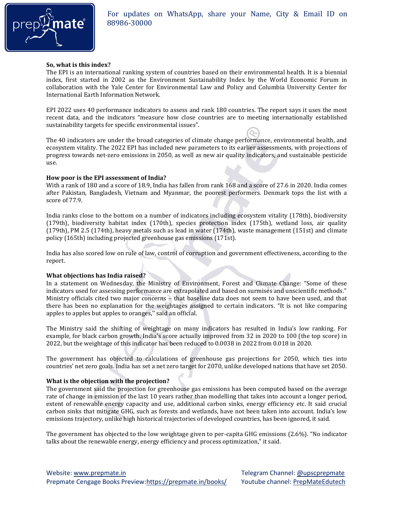

#### **So, what is this index?**

The EPI is an international ranking system of countries based on their environmental health. It is a biennial index, first started in 2002 as the Environment Sustainability Index by the World Economic Forum in collaboration with the Yale Center for Environmental Law and Policy and Columbia University Center for International Earth Information Network.

EPI 2022 uses 40 performance indicators to assess and rank 180 countries. The report says it uses the most recent data, and the indicators "measure how close countries are to meeting internationally established sustainability targets for specific environmental issues".

The 40 indicators are under the broad categories of climate change performance, environmental health, and ecosystem vitality. The 2022 EPI has included new parameters to its earlier assessments, with projections of progress towards net-zero emissions in 2050, as well as new air quality indicators, and sustainable pesticide use.

#### **How poor is the EPI assessment of India?**

With a rank of 180 and a score of 18.9, India has fallen from rank 168 and a score of 27.6 in 2020. India comes after Pakistan, Bangladesh, Vietnam and Myanmar, the poorest performers. Denmark tops the list with a score of 77.9.

India ranks close to the bottom on a number of indicators including ecosystem vitality (178th), biodiversity (179th), biodiversity habitat index (170th), species protection index (175th), wetland loss, air quality (179th), PM 2.5 (174th), heavy metals such as lead in water (174th), waste management (151st) and climate policy (165th) including projected greenhouse gas emissions (171st).

India has also scored low on rule of law, control of corruption and government effectiveness, according to the report.

#### **What objections has India raised?**

In a statement on Wednesday, the Ministry of Environment, Forest and Climate Change: "Some of these indicators used for assessing performance are extrapolated and based on surmises and unscientific methods." Ministry officials cited two major concerns – that baseline data does not seem to have been used, and that there has been no explanation for the weightages assigned to certain indicators. "It is not like comparing apples to apples but apples to oranges,'' said an official.

The Ministry said the shifting of weightage on many indicators has resulted in India's low ranking. For example, for black carbon growth, India's score actually improved from 32 in 2020 to 100 (the top score) in 2022, but the weightage of this indicator has been reduced to 0.0038 in 2022 from 0.018 in 2020.

The government has objected to calculations of greenhouse gas projections for 2050, which ties into countries' net zero goals. India has set a net zero target for 2070, unlike developed nations that have set 2050.

#### **What is the objection with the projection?**

The government said the projection for greenhouse gas emissions has been computed based on the average rate of change in emission of the last 10 years rather than modelling that takes into account a longer period, extent of renewable energy capacity and use, additional carbon sinks, energy efficiency etc. It said crucial carbon sinks that mitigate GHG, such as forests and wetlands, have not been taken into account. India's low emissions trajectory, unlike high historical trajectories of developed countries, has been ignored, it said.

The government has objected to the low weightage given to per-capita GHG emissions (2.6%). "No indicator talks about the renewable energy, energy efficiency and process optimization," it said.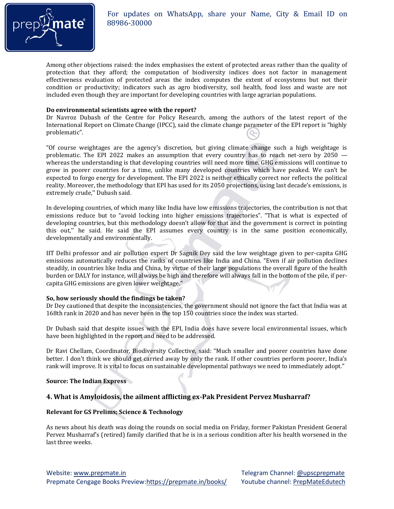

Among other objections raised: the index emphasises the extent of protected areas rather than the quality of protection that they afford; the computation of biodiversity indices does not factor in management effectiveness evaluation of protected areas the index computes the extent of ecosystems but not their condition or productivity; indicators such as agro biodiversity, soil health, food loss and waste are not included even though they are important for developing countries with large agrarian populations.

#### **Do environmental scientists agree with the report?**

Dr Navroz Dubash of the Centre for Policy Research, among the authors of the latest report of the International Report on Climate Change (IPCC), said the climate change parameter of the EPI report is "highly problematic".

"Of course weightages are the agency's discretion, but giving climate change such a high weightage is problematic. The EPI 2022 makes an assumption that every country has to reach net-zero by 2050 whereas the understanding is that developing countries will need more time. GHG emissions will continue to grow in poorer countries for a time, unlike many developed countries which have peaked. We can't be expected to forgo energy for development. The EPI 2022 is neither ethically correct nor reflects the political reality. Moreover, the methodology that EPI has used for its 2050 projections, using last decade's emissions, is extremely crude,'' Dubash said.

In developing countries, of which many like India have low emissions trajectories, the contribution is not that emissions reduce but to "avoid locking into higher emissions trajectories". "That is what is expected of developing countries, but this methodology doesn't allow for that and the government is correct in pointing this out,'' he said. He said the EPI assumes every country is in the same position economically, developmentally and environmentally.

IIT Delhi professor and air pollution expert Dr Sagnik Dey said the low weightage given to per-capita GHG emissions automatically reduces the ranks of countries like India and China. "Even if air pollution declines steadily, in countries like India and China, by virtue of their large populations the overall figure of the health burden or DALY for instance, will always be high and therefore will always fall in the bottom of the pile, if percapita GHG emissions are given lower weightage."

#### **So, how seriously should the findings be taken?**

Dr Dey cautioned that despite the inconsistencies, the government should not ignore the fact that India was at 168th rank in 2020 and has never been in the top 150 countries since the index was started.

Dr Dubash said that despite issues with the EPI, India does have severe local environmental issues, which have been highlighted in the report and need to be addressed.

Dr Ravi Chellam, Coordinator, Biodiversity Collective, said: "Much smaller and poorer countries have done better. I don't think we should get carried away by only the rank. If other countries perform poorer, India's rank will improve. It is vital to focus on sustainable developmental pathways we need to immediately adopt."

#### **Source: The Indian Express**

#### **4. What is Amyloidosis, the ailment afflicting ex-Pak President Pervez Musharraf?**

#### **Relevant for GS Prelims; Science & Technology**

As news about his death was doing the rounds on social media on Friday, former Pakistan President General Pervez Musharraf's (retired) family clarified that he is in a serious condition after his health worsened in the last three weeks.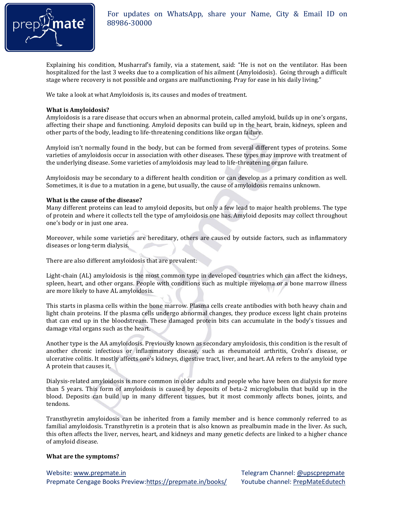

Explaining his condition, Musharraf's family, via a statement, said: "He is not on the ventilator. Has been hospitalized for the last 3 weeks due to a complication of his ailment (Amyloidosis). Going through a difficult stage where recovery is not possible and organs are malfunctioning. Pray for ease in his daily living."

We take a look at what Amyloidosis is, its causes and modes of treatment.

#### **What is Amyloidosis?**

Amyloidosis is a rare disease that occurs when an abnormal protein, called amyloid, builds up in one's organs, affecting their shape and functioning. Amyloid deposits can build up in the heart, brain, kidneys, spleen and other parts of the body, leading to life-threatening conditions like organ failure.

Amyloid isn't normally found in the body, but can be formed from several different types of proteins. Some varieties of amyloidosis occur in association with other diseases. These types may improve with treatment of the underlying disease. Some varieties of amyloidosis may lead to life-threatening organ failure.

Amyloidosis may be secondary to a different health condition or can develop as a primary condition as well. Sometimes, it is due to a mutation in a gene, but usually, the cause of amyloidosis remains unknown.

#### **What is the cause of the disease?**

Many different proteins can lead to amyloid deposits, but only a few lead to major health problems. The type of protein and where it collects tell the type of amyloidosis one has. Amyloid deposits may collect throughout one's body or in just one area.

Moreover, while some varieties are hereditary, others are caused by outside factors, such as inflammatory diseases or long-term dialysis.

There are also different amyloidosis that are prevalent:

Light-chain (AL) amyloidosis is the most common type in developed countries which can affect the kidneys, spleen, heart, and other organs. People with conditions such as multiple myeloma or a bone marrow illness are more likely to have AL amyloidosis.

This starts in plasma cells within the bone marrow. Plasma cells create antibodies with both heavy chain and light chain proteins. If the plasma cells undergo abnormal changes, they produce excess light chain proteins that can end up in the bloodstream. These damaged protein bits can accumulate in the body's tissues and damage vital organs such as the heart.

Another type is the AA amyloidosis. Previously known as secondary amyloidosis, this condition is the result of another chronic infectious or inflammatory disease, such as rheumatoid arthritis, Crohn's disease, or ulcerative colitis. It mostly affects one's kidneys, digestive tract, liver, and heart. AA refers to the amyloid type A protein that causes it.

Dialysis-related amyloidosis is more common in older adults and people who have been on dialysis for more than 5 years. This form of amyloidosis is caused by deposits of beta-2 microglobulin that build up in the blood. Deposits can build up in many different tissues, but it most commonly affects bones, joints, and tendons.

Transthyretin amyloidosis can be inherited from a family member and is hence commonly referred to as familial amyloidosis. Transthyretin is a protein that is also known as prealbumin made in the liver. As such, this often affects the liver, nerves, heart, and kidneys and many genetic defects are linked to a higher chance of amyloid disease.

#### **What are the symptoms?**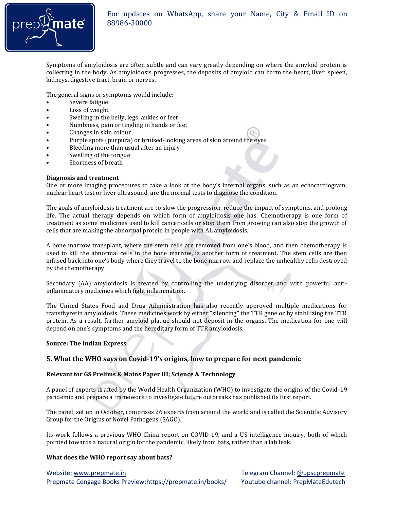

Symptoms of amyloidosis are often subtle and can vary greatly depending on where the amyloid protein is collecting in the body. As amyloidosis progresses, the deposits of amyloid can harm the heart, liver, spleen, kidneys, digestive tract, brain or nerves.

The general signs or symptoms would include:

- Severe fatigue
- Loss of weight
- Swelling in the belly, legs, ankles or feet
- Numbness, pain or tingling in hands or feet
- Changes in skin colour<br>• Purple spots (purpura)
- Purple spots (purpura) or bruised-looking areas of skin around the eyes
- Bleeding more than usual after an injury
- Swelling of the tongue
- Shortness of breath

#### **Diagnosis and treatment**

One or more imaging procedures to take a look at the body's internal organs, such as an echocardiogram, nuclear heart test or liver ultrasound, are the normal tests to diagnose the condition.

The goals of amyloidosis treatment are to slow the progression, reduce the impact of symptoms, and prolong life. The actual therapy depends on which form of amyloidosis one has. Chemotherapy is one form of treatment as some medicines used to kill cancer cells or stop them from growing can also stop the growth of cells that are making the abnormal protein in people with AL amyloidosis.

A bone marrow transplant, where the stem cells are removed from one's blood, and then chemotherapy is used to kill the abnormal cells in the bone marrow, is another form of treatment. The stem cells are then infused back into one's body where they travel to the bone marrow and replace the unhealthy cells destroyed by the chemotherapy.

Secondary (AA) amyloidosis is treated by controlling the underlying disorder and with powerful antiinflammatory medicines which fight inflammation.

The United States Food and Drug Administration has also recently approved multiple medications for transthyretin amyloidosis. These medicines work by either "silencing" the TTR gene or by stabilizing the TTR protein. As a result, further amyloid plaque should not deposit in the organs. The medication for one will depend on one's symptoms and the hereditary form of TTR amyloidosis.

#### **Source: The Indian Express**

#### **5. What the WHO says on Covid-19's origins, how to prepare for next pandemic**

#### **Relevant for GS Prelims & Mains Paper III; Science & Technology**

A panel of experts drafted by the World Health Organization (WHO) to investigate the origins of the Covid-19 pandemic and prepare a framework to investigate future outbreaks has published its first report.

The panel, set up in October, comprises 26 experts from around the world and is called the Scientific Advisory Group for the Origins of Novel Pathogens (SAGO).

Its work follows a previous WHO-China report on COVID-19, and a US intelligence inquiry, both of which pointed towards a natural origin for the pandemic, likely from bats, rather than a lab leak.

#### **What does the WHO report say about bats?**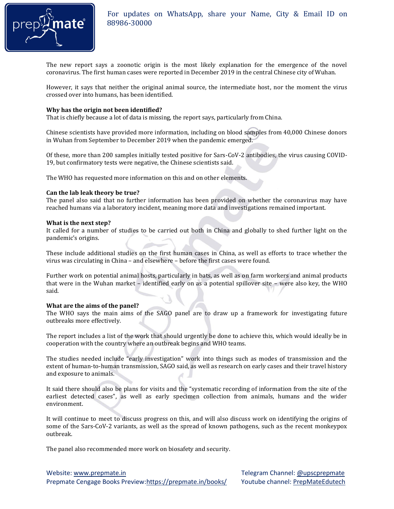

The new report says a zoonotic origin is the most likely explanation for the emergence of the novel coronavirus. The first human cases were reported in December 2019 in the central Chinese city of Wuhan.

However, it says that neither the original animal source, the intermediate host, nor the moment the virus crossed over into humans, has been identified.

#### **Why has the origin not been identified?**

That is chiefly because a lot of data is missing, the report says, particularly from China.

Chinese scientists have provided more information, including on blood samples from 40,000 Chinese donors in Wuhan from September to December 2019 when the pandemic emerged.

Of these, more than 200 samples initially tested positive for Sars-CoV-2 antibodies, the virus causing COVID-19, but confirmatory tests were negative, the Chinese scientists said.

The WHO has requested more information on this and on other elements.

#### **Can the lab leak theory be true?**

The panel also said that no further information has been provided on whether the coronavirus may have reached humans via a laboratory incident, meaning more data and investigations remained important.

#### **What is the next step?**

It called for a number of studies to be carried out both in China and globally to shed further light on the pandemic's origins.

These include additional studies on the first human cases in China, as well as efforts to trace whether the virus was circulating in China – and elsewhere – before the first cases were found.

Further work on potential animal hosts, particularly in bats, as well as on farm workers and animal products that were in the Wuhan market – identified early on as a potential spillover site – were also key, the WHO said.

#### **What are the aims of the panel?**

The WHO says the main aims of the SAGO panel are to draw up a framework for investigating future outbreaks more effectively.

The report includes a list of the work that should urgently be done to achieve this, which would ideally be in cooperation with the country where an outbreak begins and WHO teams.

The studies needed include "early investigation" work into things such as modes of transmission and the extent of human-to-human transmission, SAGO said, as well as research on early cases and their travel history and exposure to animals.

It said there should also be plans for visits and the "systematic recording of information from the site of the earliest detected cases", as well as early specimen collection from animals, humans and the wider environment.

It will continue to meet to discuss progress on this, and will also discuss work on identifying the origins of some of the Sars-CoV-2 variants, as well as the spread of known pathogens, such as the recent monkeypox outbreak.

The panel also recommended more work on biosafety and security.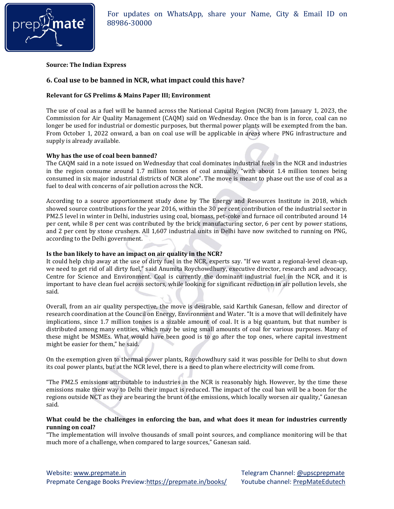

**Source: The Indian Express** 

#### **6. Coal use to be banned in NCR, what impact could this have?**

#### **Relevant for GS Prelims & Mains Paper III; Environment**

The use of coal as a fuel will be banned across the National Capital Region (NCR) from January 1, 2023, the Commission for Air Quality Management (CAQM) said on Wednesday. Once the ban is in force, coal can no longer be used for industrial or domestic purposes, but thermal power plants will be exempted from the ban. From October 1, 2022 onward, a ban on coal use will be applicable in areas where PNG infrastructure and supply is already available.

#### **Why has the use of coal been banned?**

The CAQM said in a note issued on Wednesday that coal dominates industrial fuels in the NCR and industries in the region consume around 1.7 million tonnes of coal annually, "with about 1.4 million tonnes being consumed in six major industrial districts of NCR alone". The move is meant to phase out the use of coal as a fuel to deal with concerns of air pollution across the NCR.

According to a source apportionment study done by The Energy and Resources Institute in 2018, which showed source contributions for the year 2016, within the 30 per cent contribution of the industrial sector in PM2.5 level in winter in Delhi, industries using coal, biomass, pet-coke and furnace oil contributed around 14 per cent, while 8 per cent was contributed by the brick manufacturing sector, 6 per cent by power stations, and 2 per cent by stone crushers. All 1,607 industrial units in Delhi have now switched to running on PNG, according to the Delhi government.

#### **Is the ban likely to have an impact on air quality in the NCR?**

It could help chip away at the use of dirty fuel in the NCR, experts say. "If we want a regional-level clean-up, we need to get rid of all dirty fuel," said Anumita Roychowdhury, executive director, research and advocacy, Centre for Science and Environment. Coal is currently the dominant industrial fuel in the NCR, and it is important to have clean fuel across sectors, while looking for significant reduction in air pollution levels, she said.

Overall, from an air quality perspective, the move is desirable, said Karthik Ganesan, fellow and director of research coordination at the Council on Energy, Environment and Water. "It is a move that will definitely have implications, since 1.7 million tonnes is a sizable amount of coal. It is a big quantum, but that number is distributed among many entities, which may be using small amounts of coal for various purposes. Many of these might be MSMEs. What would have been good is to go after the top ones, where capital investment might be easier for them," he said.

On the exemption given to thermal power plants, Roychowdhury said it was possible for Delhi to shut down its coal power plants, but at the NCR level, there is a need to plan where electricity will come from.

"The PM2.5 emissions attributable to industries in the NCR is reasonably high. However, by the time these emissions make their way to Delhi their impact is reduced. The impact of the coal ban will be a boon for the regions outside NCT as they are bearing the brunt of the emissions, which locally worsen air quality," Ganesan said.

#### **What could be the challenges in enforcing the ban, and what does it mean for industries currently running on coal?**

"The implementation will involve thousands of small point sources, and compliance monitoring will be that much more of a challenge, when compared to large sources," Ganesan said.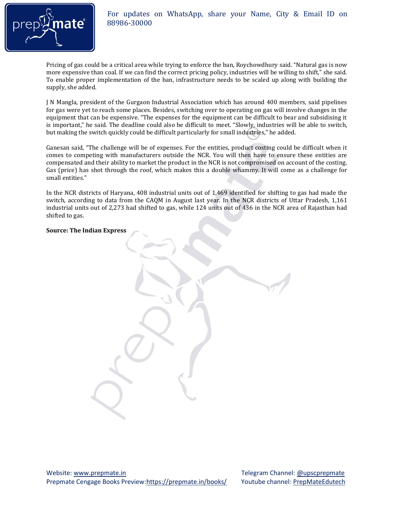

#### For updates on WhatsApp, share your Name, City & Email ID on **and C**<sup>8</sup> 88986-30000 88986-30000

Pricing of gas could be a critical area while trying to enforce the ban, Roychowdhury said. "Natural gas is now more expensive than coal. If we can find the correct pricing policy, industries will be willing to shift," she said. To enable proper implementation of the ban, infrastructure needs to be scaled up along with building the supply, she added.

J N Mangla, president of the Gurgaon Industrial Association which has around 400 members, said pipelines for gas were yet to reach some places. Besides, switching over to operating on gas will involve changes in the equipment that can be expensive. "The expenses for the equipment can be difficult to bear and subsidising it is important," he said. The deadline could also be difficult to meet. "Slowly, industries will be able to switch, but making the switch quickly could be difficult particularly for small industries," he added.

Ganesan said, "The challenge will be of expenses. For the entities, product costing could be difficult when it comes to competing with manufacturers outside the NCR. You will then have to ensure these entities are compensated and their ability to market the product in the NCR is not compromised on account of the costing. Gas (price) has shot through the roof, which makes this a double whammy. It will come as a challenge for small entities."

In the NCR districts of Haryana, 408 industrial units out of 1,469 identified for shifting to gas had made the switch, according to data from the CAQM in August last year. In the NCR districts of Uttar Pradesh, 1,161 industrial units out of 2,273 had shifted to gas, while 124 units out of 436 in the NCR area of Rajasthan had shifted to gas.

#### **Source: The Indian Express**